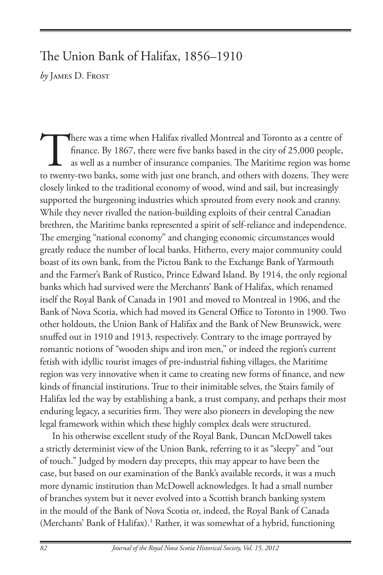## The Union Bank of Halifax, 1856–1910

*by* James D. Frost

There was a time when Halifax rivalled Montreal and Toronto as a centre of finance. By 1867, there were five banks based in the city of 25,000 people, as well as a number of insurance companies. The Maritime region was hom finance. By 1867, there were five banks based in the city of 25,000 people, as well as a number of insurance companies. The Maritime region was home to twenty-two banks, some with just one branch, and others with dozens. They were closely linked to the traditional economy of wood, wind and sail, but increasingly supported the burgeoning industries which sprouted from every nook and cranny. While they never rivalled the nation-building exploits of their central Canadian brethren, the Maritime banks represented a spirit of self-reliance and independence. The emerging "national economy" and changing economic circumstances would greatly reduce the number of local banks. Hitherto, every major community could boast of its own bank, from the Pictou Bank to the Exchange Bank of Yarmouth and the Farmer's Bank of Rustico, Prince Edward Island. By 1914, the only regional banks which had survived were the Merchants' Bank of Halifax, which renamed itself the Royal Bank of Canada in 1901 and moved to Montreal in 1906, and the Bank of Nova Scotia, which had moved its General Office to Toronto in 1900. Two other holdouts, the Union Bank of Halifax and the Bank of New Brunswick, were snuffed out in 1910 and 1913, respectively. Contrary to the image portrayed by romantic notions of "wooden ships and iron men," or indeed the region's current fetish with idyllic tourist images of pre-industrial fishing villages, the Maritime region was very innovative when it came to creating new forms of finance, and new kinds of financial institutions. True to their inimitable selves, the Stairs family of Halifax led the way by establishing a bank, a trust company, and perhaps their most enduring legacy, a securities firm. They were also pioneers in developing the new legal framework within which these highly complex deals were structured.

In his otherwise excellent study of the Royal Bank, Duncan McDowell takes a strictly determinist view of the Union Bank, referring to it as "sleepy" and "out of touch." Judged by modern day precepts, this may appear to have been the case, but based on our examination of the Bank's available records, it was a much more dynamic institution than McDowell acknowledges. It had a small number of branches system but it never evolved into a Scottish branch banking system in the mould of the Bank of Nova Scotia or, indeed, the Royal Bank of Canada (Merchants' Bank of Halifax).<sup>1</sup> Rather, it was somewhat of a hybrid, functioning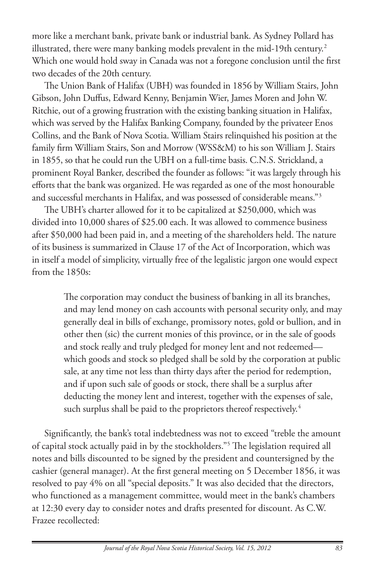more like a merchant bank, private bank or industrial bank. As Sydney Pollard has illustrated, there were many banking models prevalent in the mid-19th century.<sup>2</sup> Which one would hold sway in Canada was not a foregone conclusion until the first two decades of the 20th century.

The Union Bank of Halifax (UBH) was founded in 1856 by William Stairs, John Gibson, John Duffus, Edward Kenny, Benjamin Wier, James Moren and John W. Ritchie, out of a growing frustration with the existing banking situation in Halifax, which was served by the Halifax Banking Company, founded by the privateer Enos Collins, and the Bank of Nova Scotia. William Stairs relinquished his position at the family firm William Stairs, Son and Morrow (WSS&M) to his son William J. Stairs in 1855, so that he could run the UBH on a full-time basis. C.N.S. Strickland, a prominent Royal Banker, described the founder as follows: "it was largely through his efforts that the bank was organized. He was regarded as one of the most honourable and successful merchants in Halifax, and was possessed of considerable means."3

The UBH's charter allowed for it to be capitalized at \$250,000, which was divided into 10,000 shares of \$25.00 each. It was allowed to commence business after \$50,000 had been paid in, and a meeting of the shareholders held. The nature of its business is summarized in Clause 17 of the Act of Incorporation, which was in itself a model of simplicity, virtually free of the legalistic jargon one would expect from the 1850s:

> The corporation may conduct the business of banking in all its branches, and may lend money on cash accounts with personal security only, and may generally deal in bills of exchange, promissory notes, gold or bullion, and in other then (sic) the current monies of this province, or in the sale of goods and stock really and truly pledged for money lent and not redeemed which goods and stock so pledged shall be sold by the corporation at public sale, at any time not less than thirty days after the period for redemption, and if upon such sale of goods or stock, there shall be a surplus after deducting the money lent and interest, together with the expenses of sale, such surplus shall be paid to the proprietors thereof respectively.<sup>4</sup>

Significantly, the bank's total indebtedness was not to exceed "treble the amount of capital stock actually paid in by the stockholders."5 The legislation required all notes and bills discounted to be signed by the president and countersigned by the cashier (general manager). At the first general meeting on 5 December 1856, it was resolved to pay 4% on all "special deposits." It was also decided that the directors, who functioned as a management committee, would meet in the bank's chambers at 12:30 every day to consider notes and drafts presented for discount. As C.W. Frazee recollected: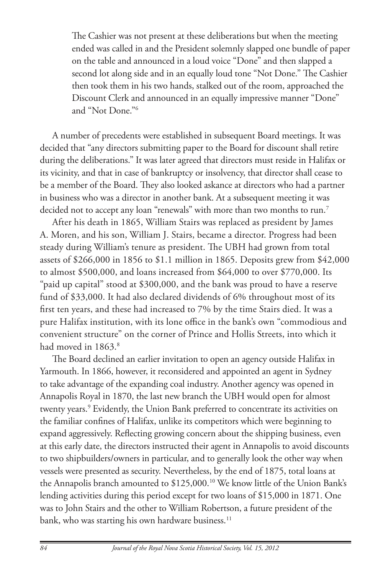The Cashier was not present at these deliberations but when the meeting ended was called in and the President solemnly slapped one bundle of paper on the table and announced in a loud voice "Done" and then slapped a second lot along side and in an equally loud tone "Not Done." The Cashier then took them in his two hands, stalked out of the room, approached the Discount Clerk and announced in an equally impressive manner "Done" and "Not Done."6

A number of precedents were established in subsequent Board meetings. It was decided that "any directors submitting paper to the Board for discount shall retire during the deliberations." It was later agreed that directors must reside in Halifax or its vicinity, and that in case of bankruptcy or insolvency, that director shall cease to be a member of the Board. They also looked askance at directors who had a partner in business who was a director in another bank. At a subsequent meeting it was decided not to accept any loan "renewals" with more than two months to run.<sup>7</sup>

After his death in 1865, William Stairs was replaced as president by James A. Moren, and his son, William J. Stairs, became a director. Progress had been steady during William's tenure as president. The UBH had grown from total assets of \$266,000 in 1856 to \$1.1 million in 1865. Deposits grew from \$42,000 to almost \$500,000, and loans increased from \$64,000 to over \$770,000. Its "paid up capital" stood at \$300,000, and the bank was proud to have a reserve fund of \$33,000. It had also declared dividends of 6% throughout most of its first ten years, and these had increased to 7% by the time Stairs died. It was a pure Halifax institution, with its lone office in the bank's own "commodious and convenient structure" on the corner of Prince and Hollis Streets, into which it had moved in 1863.<sup>8</sup>

The Board declined an earlier invitation to open an agency outside Halifax in Yarmouth. In 1866, however, it reconsidered and appointed an agent in Sydney to take advantage of the expanding coal industry. Another agency was opened in Annapolis Royal in 1870, the last new branch the UBH would open for almost twenty years.<sup>9</sup> Evidently, the Union Bank preferred to concentrate its activities on the familiar confines of Halifax, unlike its competitors which were beginning to expand aggressively. Reflecting growing concern about the shipping business, even at this early date, the directors instructed their agent in Annapolis to avoid discounts to two shipbuilders/owners in particular, and to generally look the other way when vessels were presented as security. Nevertheless, by the end of 1875, total loans at the Annapolis branch amounted to \$125,000.<sup>10</sup> We know little of the Union Bank's lending activities during this period except for two loans of \$15,000 in 1871. One was to John Stairs and the other to William Robertson, a future president of the bank, who was starting his own hardware business.<sup>11</sup>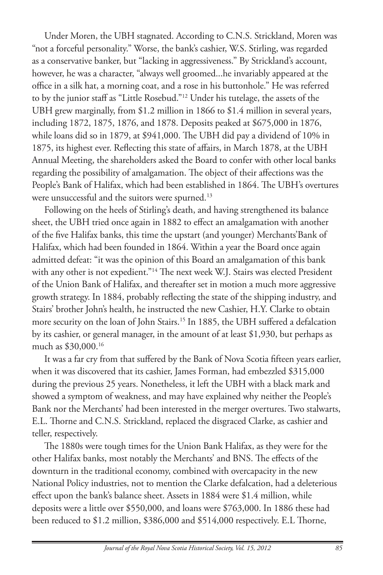Under Moren, the UBH stagnated. According to C.N.S. Strickland, Moren was "not a forceful personality." Worse, the bank's cashier, W.S. Stirling, was regarded as a conservative banker, but "lacking in aggressiveness." By Strickland's account, however, he was a character, "always well groomed...he invariably appeared at the office in a silk hat, a morning coat, and a rose in his buttonhole." He was referred to by the junior staff as "Little Rosebud."12 Under his tutelage, the assets of the UBH grew marginally, from \$1.2 million in 1866 to \$1.4 million in several years, including 1872, 1875, 1876, and 1878. Deposits peaked at \$675,000 in 1876, while loans did so in 1879, at \$941,000. The UBH did pay a dividend of 10% in 1875, its highest ever. Reflecting this state of affairs, in March 1878, at the UBH Annual Meeting, the shareholders asked the Board to confer with other local banks regarding the possibility of amalgamation. The object of their affections was the People's Bank of Halifax, which had been established in 1864. The UBH's overtures were unsuccessful and the suitors were spurned.<sup>13</sup>

Following on the heels of Stirling's death, and having strengthened its balance sheet, the UBH tried once again in 1882 to effect an amalgamation with another of the five Halifax banks, this time the upstart (and younger) Merchants'Bank of Halifax, which had been founded in 1864. Within a year the Board once again admitted defeat: "it was the opinion of this Board an amalgamation of this bank with any other is not expedient."<sup>14</sup> The next week W.J. Stairs was elected President of the Union Bank of Halifax, and thereafter set in motion a much more aggressive growth strategy. In 1884, probably reflecting the state of the shipping industry, and Stairs' brother John's health, he instructed the new Cashier, H.Y. Clarke to obtain more security on the loan of John Stairs.15 In 1885, the UBH suffered a defalcation by its cashier, or general manager, in the amount of at least \$1,930, but perhaps as much as \$30,000.16

It was a far cry from that suffered by the Bank of Nova Scotia fifteen years earlier, when it was discovered that its cashier, James Forman, had embezzled \$315,000 during the previous 25 years. Nonetheless, it left the UBH with a black mark and showed a symptom of weakness, and may have explained why neither the People's Bank nor the Merchants' had been interested in the merger overtures. Two stalwarts, E.L. Thorne and C.N.S. Strickland, replaced the disgraced Clarke, as cashier and teller, respectively.

The 1880s were tough times for the Union Bank Halifax, as they were for the other Halifax banks, most notably the Merchants' and BNS. The effects of the downturn in the traditional economy, combined with overcapacity in the new National Policy industries, not to mention the Clarke defalcation, had a deleterious effect upon the bank's balance sheet. Assets in 1884 were \$1.4 million, while deposits were a little over \$550,000, and loans were \$763,000. In 1886 these had been reduced to \$1.2 million, \$386,000 and \$514,000 respectively. E.L Thorne,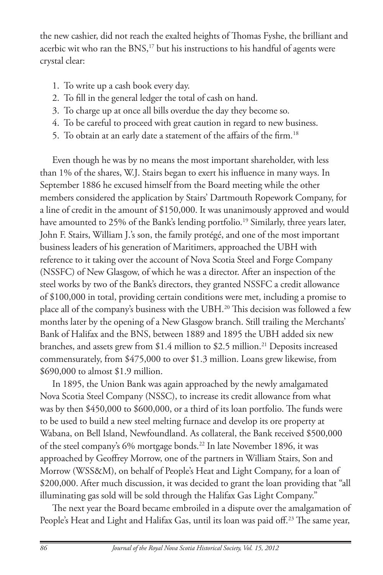the new cashier, did not reach the exalted heights of Thomas Fyshe, the brilliant and acerbic wit who ran the BNS,<sup>17</sup> but his instructions to his handful of agents were crystal clear:

- 1. To write up a cash book every day.
- 2. To fill in the general ledger the total of cash on hand.
- 3. To charge up at once all bills overdue the day they become so.
- 4. To be careful to proceed with great caution in regard to new business.
- 5. To obtain at an early date a statement of the affairs of the firm.<sup>18</sup>

Even though he was by no means the most important shareholder, with less than 1% of the shares, W.J. Stairs began to exert his influence in many ways. In September 1886 he excused himself from the Board meeting while the other members considered the application by Stairs' Dartmouth Ropework Company, for a line of credit in the amount of \$150,000. It was unanimously approved and would have amounted to 25% of the Bank's lending portfolio.<sup>19</sup> Similarly, three years later, John F. Stairs, William J.'s son, the family protégé, and one of the most important business leaders of his generation of Maritimers, approached the UBH with reference to it taking over the account of Nova Scotia Steel and Forge Company (NSSFC) of New Glasgow, of which he was a director. After an inspection of the steel works by two of the Bank's directors, they granted NSSFC a credit allowance of \$100,000 in total, providing certain conditions were met, including a promise to place all of the company's business with the UBH.20 This decision was followed a few months later by the opening of a New Glasgow branch. Still trailing the Merchants' Bank of Halifax and the BNS, between 1889 and 1895 the UBH added six new branches, and assets grew from  $$1.4$  million to  $$2.5$  million.<sup>21</sup> Deposits increased commensurately, from \$475,000 to over \$1.3 million. Loans grew likewise, from \$690,000 to almost \$1.9 million.

In 1895, the Union Bank was again approached by the newly amalgamated Nova Scotia Steel Company (NSSC), to increase its credit allowance from what was by then \$450,000 to \$600,000, or a third of its loan portfolio. The funds were to be used to build a new steel melting furnace and develop its ore property at Wabana, on Bell Island, Newfoundland. As collateral, the Bank received \$500,000 of the steel company's 6% mortgage bonds.<sup>22</sup> In late November 1896, it was approached by Geoffrey Morrow, one of the partners in William Stairs, Son and Morrow (WSS&M), on behalf of People's Heat and Light Company, for a loan of \$200,000. After much discussion, it was decided to grant the loan providing that "all illuminating gas sold will be sold through the Halifax Gas Light Company."

The next year the Board became embroiled in a dispute over the amalgamation of People's Heat and Light and Halifax Gas, until its loan was paid off.<sup>23</sup> The same year,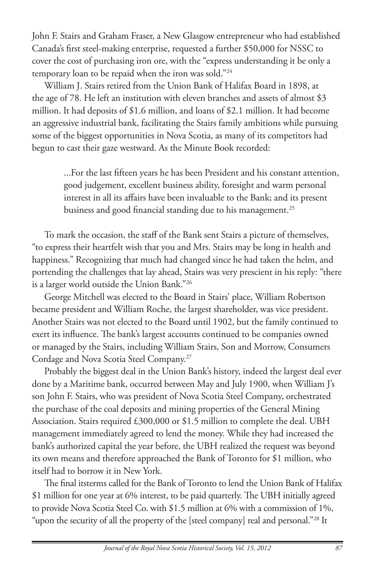John F. Stairs and Graham Fraser, a New Glasgow entrepreneur who had established Canada's first steel-making enterprise, requested a further \$50,000 for NSSC to cover the cost of purchasing iron ore, with the "express understanding it be only a temporary loan to be repaid when the iron was sold."<sup>24</sup>

William J. Stairs retired from the Union Bank of Halifax Board in 1898, at the age of 78. He left an institution with eleven branches and assets of almost \$3 million. It had deposits of \$1.6 million, and loans of \$2.1 million. It had become an aggressive industrial bank, facilitating the Stairs family ambitions while pursuing some of the biggest opportunities in Nova Scotia, as many of its competitors had begun to cast their gaze westward. As the Minute Book recorded:

> ...For the last fifteen years he has been President and his constant attention, good judgement, excellent business ability, foresight and warm personal interest in all its affairs have been invaluable to the Bank; and its present business and good financial standing due to his management.<sup>25</sup>

To mark the occasion, the staff of the Bank sent Stairs a picture of themselves, "to express their heartfelt wish that you and Mrs. Stairs may be long in health and happiness." Recognizing that much had changed since he had taken the helm, and portending the challenges that lay ahead, Stairs was very prescient in his reply: "there is a larger world outside the Union Bank."26

George Mitchell was elected to the Board in Stairs' place, William Robertson became president and William Roche, the largest shareholder, was vice president. Another Stairs was not elected to the Board until 1902, but the family continued to exert its influence. The bank's largest accounts continued to be companies owned or managed by the Stairs, including William Stairs, Son and Morrow, Consumers Cordage and Nova Scotia Steel Company.27

Probably the biggest deal in the Union Bank's history, indeed the largest deal ever done by a Maritime bank, occurred between May and July 1900, when William J's son John F. Stairs, who was president of Nova Scotia Steel Company, orchestrated the purchase of the coal deposits and mining properties of the General Mining Association. Stairs required £300,000 or \$1.5 million to complete the deal. UBH management immediately agreed to lend the money. While they had increased the bank's authorized capital the year before, the UBH realized the request was beyond its own means and therefore approached the Bank of Toronto for \$1 million, who itself had to borrow it in New York.

The final itsterms called for the Bank of Toronto to lend the Union Bank of Halifax \$1 million for one year at 6% interest, to be paid quarterly. The UBH initially agreed to provide Nova Scotia Steel Co. with \$1.5 million at 6% with a commission of 1%, "upon the security of all the property of the [steel company] real and personal."<sup>28</sup> It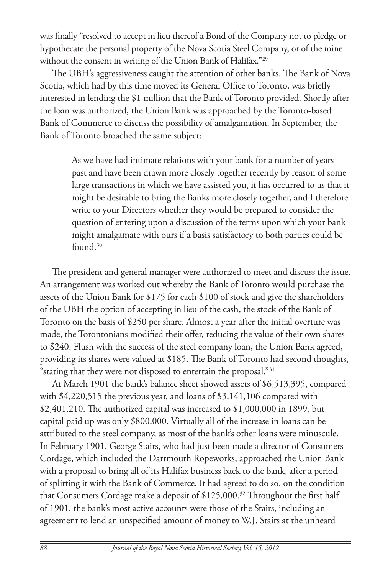was finally "resolved to accept in lieu thereof a Bond of the Company not to pledge or hypothecate the personal property of the Nova Scotia Steel Company, or of the mine without the consent in writing of the Union Bank of Halifax."29

The UBH's aggressiveness caught the attention of other banks. The Bank of Nova Scotia, which had by this time moved its General Office to Toronto, was briefly interested in lending the \$1 million that the Bank of Toronto provided. Shortly after the loan was authorized, the Union Bank was approached by the Toronto-based Bank of Commerce to discuss the possibility of amalgamation. In September, the Bank of Toronto broached the same subject:

> As we have had intimate relations with your bank for a number of years past and have been drawn more closely together recently by reason of some large transactions in which we have assisted you, it has occurred to us that it might be desirable to bring the Banks more closely together, and I therefore write to your Directors whether they would be prepared to consider the question of entering upon a discussion of the terms upon which your bank might amalgamate with ours if a basis satisfactory to both parties could be found.30

The president and general manager were authorized to meet and discuss the issue. An arrangement was worked out whereby the Bank of Toronto would purchase the assets of the Union Bank for \$175 for each \$100 of stock and give the shareholders of the UBH the option of accepting in lieu of the cash, the stock of the Bank of Toronto on the basis of \$250 per share. Almost a year after the initial overture was made, the Torontonians modified their offer, reducing the value of their own shares to \$240. Flush with the success of the steel company loan, the Union Bank agreed, providing its shares were valued at \$185. The Bank of Toronto had second thoughts, "stating that they were not disposed to entertain the proposal."31

At March 1901 the bank's balance sheet showed assets of \$6,513,395, compared with \$4,220,515 the previous year, and loans of \$3,141,106 compared with \$2,401,210. The authorized capital was increased to \$1,000,000 in 1899, but capital paid up was only \$800,000. Virtually all of the increase in loans can be attributed to the steel company, as most of the bank's other loans were minuscule. In February 1901, George Stairs, who had just been made a director of Consumers Cordage, which included the Dartmouth Ropeworks, approached the Union Bank with a proposal to bring all of its Halifax business back to the bank, after a period of splitting it with the Bank of Commerce. It had agreed to do so, on the condition that Consumers Cordage make a deposit of \$125,000.<sup>32</sup> Throughout the first half of 1901, the bank's most active accounts were those of the Stairs, including an agreement to lend an unspecified amount of money to W.J. Stairs at the unheard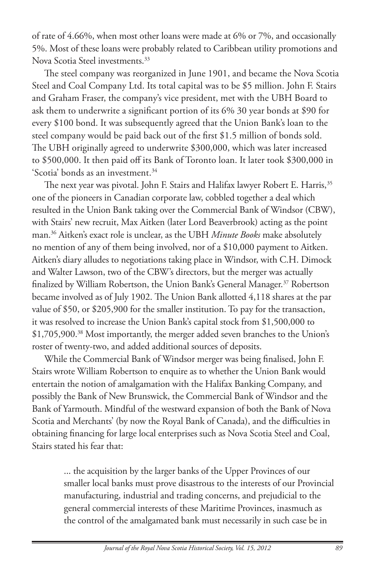of rate of 4.66%, when most other loans were made at 6% or 7%, and occasionally 5%. Most of these loans were probably related to Caribbean utility promotions and Nova Scotia Steel investments.<sup>33</sup>

The steel company was reorganized in June 1901, and became the Nova Scotia Steel and Coal Company Ltd. Its total capital was to be \$5 million. John F. Stairs and Graham Fraser, the company's vice president, met with the UBH Board to ask them to underwrite a significant portion of its 6% 30 year bonds at \$90 for every \$100 bond. It was subsequently agreed that the Union Bank's loan to the steel company would be paid back out of the first \$1.5 million of bonds sold. The UBH originally agreed to underwrite \$300,000, which was later increased to \$500,000. It then paid off its Bank of Toronto loan. It later took \$300,000 in 'Scotia' bonds as an investment.34

The next year was pivotal. John F. Stairs and Halifax lawyer Robert E. Harris,<sup>35</sup> one of the pioneers in Canadian corporate law, cobbled together a deal which resulted in the Union Bank taking over the Commercial Bank of Windsor (CBW), with Stairs' new recruit, Max Aitken (later Lord Beaverbrook) acting as the point man.36 Aitken's exact role is unclear, as the UBH *Minute Books* make absolutely no mention of any of them being involved, nor of a \$10,000 payment to Aitken. Aitken's diary alludes to negotiations taking place in Windsor, with C.H. Dimock and Walter Lawson, two of the CBW's directors, but the merger was actually finalized by William Robertson, the Union Bank's General Manager.<sup>37</sup> Robertson became involved as of July 1902. The Union Bank allotted 4,118 shares at the par value of \$50, or \$205,900 for the smaller institution. To pay for the transaction, it was resolved to increase the Union Bank's capital stock from \$1,500,000 to \$1,705,900.38 Most importantly, the merger added seven branches to the Union's roster of twenty-two, and added additional sources of deposits.

While the Commercial Bank of Windsor merger was being finalised, John F. Stairs wrote William Robertson to enquire as to whether the Union Bank would entertain the notion of amalgamation with the Halifax Banking Company, and possibly the Bank of New Brunswick, the Commercial Bank of Windsor and the Bank of Yarmouth. Mindful of the westward expansion of both the Bank of Nova Scotia and Merchants' (by now the Royal Bank of Canada), and the difficulties in obtaining financing for large local enterprises such as Nova Scotia Steel and Coal, Stairs stated his fear that:

> ... the acquisition by the larger banks of the Upper Provinces of our smaller local banks must prove disastrous to the interests of our Provincial manufacturing, industrial and trading concerns, and prejudicial to the general commercial interests of these Maritime Provinces, inasmuch as the control of the amalgamated bank must necessarily in such case be in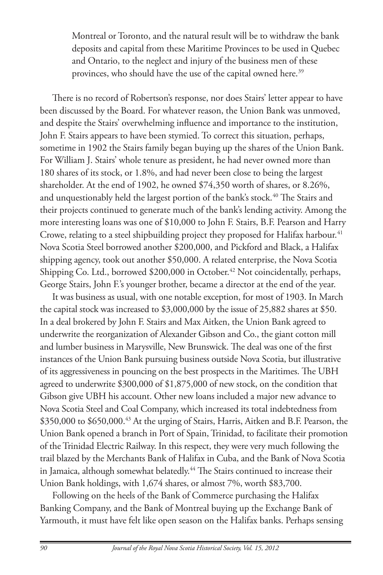Montreal or Toronto, and the natural result will be to withdraw the bank deposits and capital from these Maritime Provinces to be used in Quebec and Ontario, to the neglect and injury of the business men of these provinces, who should have the use of the capital owned here.<sup>39</sup>

There is no record of Robertson's response, nor does Stairs' letter appear to have been discussed by the Board. For whatever reason, the Union Bank was unmoved, and despite the Stairs' overwhelming influence and importance to the institution, John F. Stairs appears to have been stymied. To correct this situation, perhaps, sometime in 1902 the Stairs family began buying up the shares of the Union Bank. For William J. Stairs' whole tenure as president, he had never owned more than 180 shares of its stock, or 1.8%, and had never been close to being the largest shareholder. At the end of 1902, he owned \$74,350 worth of shares, or 8.26%, and unquestionably held the largest portion of the bank's stock.<sup>40</sup> The Stairs and their projects continued to generate much of the bank's lending activity. Among the more interesting loans was one of \$10,000 to John F. Stairs, B.F. Pearson and Harry Crowe, relating to a steel shipbuilding project they proposed for Halifax harbour.<sup>41</sup> Nova Scotia Steel borrowed another \$200,000, and Pickford and Black, a Halifax shipping agency, took out another \$50,000. A related enterprise, the Nova Scotia Shipping Co. Ltd., borrowed \$200,000 in October.<sup>42</sup> Not coincidentally, perhaps, George Stairs, John F.'s younger brother, became a director at the end of the year.

It was business as usual, with one notable exception, for most of 1903. In March the capital stock was increased to \$3,000,000 by the issue of 25,882 shares at \$50. In a deal brokered by John F. Stairs and Max Aitken, the Union Bank agreed to underwrite the reorganization of Alexander Gibson and Co., the giant cotton mill and lumber business in Marysville, New Brunswick. The deal was one of the first instances of the Union Bank pursuing business outside Nova Scotia, but illustrative of its aggressiveness in pouncing on the best prospects in the Maritimes. The UBH agreed to underwrite \$300,000 of \$1,875,000 of new stock, on the condition that Gibson give UBH his account. Other new loans included a major new advance to Nova Scotia Steel and Coal Company, which increased its total indebtedness from \$350,000 to \$650,000.<sup>43</sup> At the urging of Stairs, Harris, Aitken and B.F. Pearson, the Union Bank opened a branch in Port of Spain, Trinidad, to facilitate their promotion of the Trinidad Electric Railway. In this respect, they were very much following the trail blazed by the Merchants Bank of Halifax in Cuba, and the Bank of Nova Scotia in Jamaica, although somewhat belatedly.<sup>44</sup> The Stairs continued to increase their Union Bank holdings, with 1,674 shares, or almost 7%, worth \$83,700.

Following on the heels of the Bank of Commerce purchasing the Halifax Banking Company, and the Bank of Montreal buying up the Exchange Bank of Yarmouth, it must have felt like open season on the Halifax banks. Perhaps sensing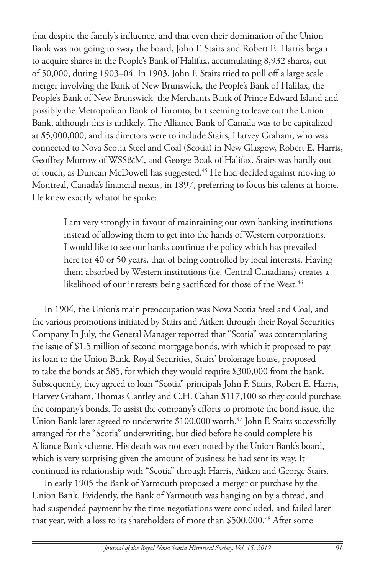that despite the family's influence, and that even their domination of the Union Bank was not going to sway the board, John F. Stairs and Robert E. Harris began to acquire shares in the People's Bank of Halifax, accumulating 8,932 shares, out of 50,000, during 1903–04. In 1903, John F. Stairs tried to pull off a large scale merger involving the Bank of New Brunswick, the People's Bank of Halifax, the People's Bank of New Brunswick, the Merchants Bank of Prince Edward Island and possibly the Metropolitan Bank of Toronto, but seeming to leave out the Union Bank, although this is unlikely. The Alliance Bank of Canada was to be capitalized at \$5,000,000, and its directors were to include Stairs, Harvey Graham, who was connected to Nova Scotia Steel and Coal (Scotia) in New Glasgow, Robert E. Harris, Geoffrey Morrow of WSS&M, and George Boak of Halifax. Stairs was hardly out of touch, as Duncan McDowell has suggested.<sup>45</sup> He had decided against moving to Montreal, Canada's financial nexus, in 1897, preferring to focus his talents at home. He knew exactly whatof he spoke:

> I am very strongly in favour of maintaining our own banking institutions instead of allowing them to get into the hands of Western corporations. I would like to see our banks continue the policy which has prevailed here for 40 or 50 years, that of being controlled by local interests. Having them absorbed by Western institutions (i.e. Central Canadians) creates a likelihood of our interests being sacrificed for those of the West.<sup>46</sup>

In 1904, the Union's main preoccupation was Nova Scotia Steel and Coal, and the various promotions initiated by Stairs and Aitken through their Royal Securities Company In July, the General Manager reported that "Scotia" was contemplating the issue of \$1.5 million of second mortgage bonds, with which it proposed to pay its loan to the Union Bank. Royal Securities, Stairs' brokerage house, proposed to take the bonds at \$85, for which they would require \$300,000 from the bank. Subsequently, they agreed to loan "Scotia" principals John F. Stairs, Robert E. Harris, Harvey Graham, Thomas Cantley and C.H. Cahan \$117,100 so they could purchase the company's bonds. To assist the company's efforts to promote the bond issue, the Union Bank later agreed to underwrite \$100,000 worth.<sup>47</sup> John F. Stairs successfully arranged for the "Scotia" underwriting, but died before he could complete his Alliance Bank scheme. His death was not even noted by the Union Bank's board, which is very surprising given the amount of business he had sent its way. It continued its relationship with "Scotia" through Harris, Aitken and George Stairs.

In early 1905 the Bank of Yarmouth proposed a merger or purchase by the Union Bank. Evidently, the Bank of Yarmouth was hanging on by a thread, and had suspended payment by the time negotiations were concluded, and failed later that year, with a loss to its shareholders of more than \$500,000.<sup>48</sup> After some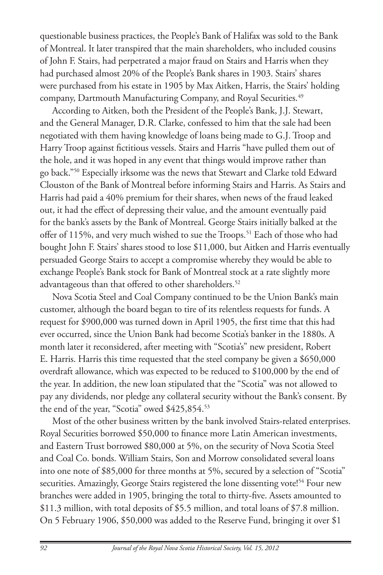questionable business practices, the People's Bank of Halifax was sold to the Bank of Montreal. It later transpired that the main shareholders, who included cousins of John F. Stairs, had perpetrated a major fraud on Stairs and Harris when they had purchased almost 20% of the People's Bank shares in 1903. Stairs' shares were purchased from his estate in 1905 by Max Aitken, Harris, the Stairs' holding company, Dartmouth Manufacturing Company, and Royal Securities.<sup>49</sup>

According to Aitken, both the President of the People's Bank, J.J. Stewart, and the General Manager, D.R. Clarke, confessed to him that the sale had been negotiated with them having knowledge of loans being made to G.J. Troop and Harry Troop against fictitious vessels. Stairs and Harris "have pulled them out of the hole, and it was hoped in any event that things would improve rather than go back."50 Especially irksome was the news that Stewart and Clarke told Edward Clouston of the Bank of Montreal before informing Stairs and Harris. As Stairs and Harris had paid a 40% premium for their shares, when news of the fraud leaked out, it had the effect of depressing their value, and the amount eventually paid for the bank's assets by the Bank of Montreal. George Stairs initially balked at the offer of 115%, and very much wished to sue the Troops.<sup>51</sup> Each of those who had bought John F. Stairs' shares stood to lose \$11,000, but Aitken and Harris eventually persuaded George Stairs to accept a compromise whereby they would be able to exchange People's Bank stock for Bank of Montreal stock at a rate slightly more advantageous than that offered to other shareholders.<sup>52</sup>

Nova Scotia Steel and Coal Company continued to be the Union Bank's main customer, although the board began to tire of its relentless requests for funds. A request for \$900,000 was turned down in April 1905, the first time that this had ever occurred, since the Union Bank had become Scotia's banker in the 1880s. A month later it reconsidered, after meeting with "Scotia's" new president, Robert E. Harris. Harris this time requested that the steel company be given a \$650,000 overdraft allowance, which was expected to be reduced to \$100,000 by the end of the year. In addition, the new loan stipulated that the "Scotia" was not allowed to pay any dividends, nor pledge any collateral security without the Bank's consent. By the end of the year, "Scotia" owed \$425,854.53

Most of the other business written by the bank involved Stairs-related enterprises. Royal Securities borrowed \$50,000 to finance more Latin American investments, and Eastern Trust borrowed \$80,000 at 5%, on the security of Nova Scotia Steel and Coal Co. bonds. William Stairs, Son and Morrow consolidated several loans into one note of \$85,000 for three months at 5%, secured by a selection of "Scotia" securities. Amazingly, George Stairs registered the lone dissenting vote!<sup>54</sup> Four new branches were added in 1905, bringing the total to thirty-five. Assets amounted to \$11.3 million, with total deposits of \$5.5 million, and total loans of \$7.8 million. On 5 February 1906, \$50,000 was added to the Reserve Fund, bringing it over \$1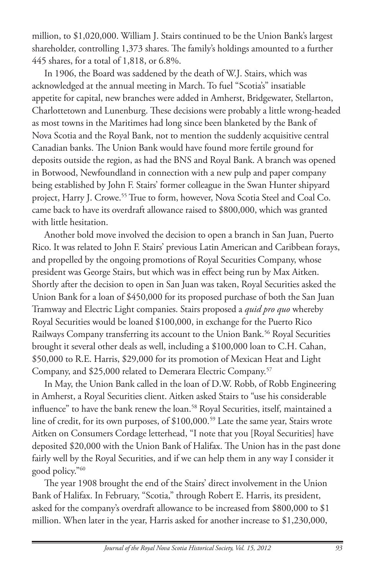million, to \$1,020,000. William J. Stairs continued to be the Union Bank's largest shareholder, controlling 1,373 shares. The family's holdings amounted to a further 445 shares, for a total of 1,818, or 6.8%.

In 1906, the Board was saddened by the death of W.J. Stairs, which was acknowledged at the annual meeting in March. To fuel "Scotia's" insatiable appetite for capital, new branches were added in Amherst, Bridgewater, Stellarton, Charlottetown and Lunenburg. These decisions were probably a little wrong-headed as most towns in the Maritimes had long since been blanketed by the Bank of Nova Scotia and the Royal Bank, not to mention the suddenly acquisitive central Canadian banks. The Union Bank would have found more fertile ground for deposits outside the region, as had the BNS and Royal Bank. A branch was opened in Botwood, Newfoundland in connection with a new pulp and paper company being established by John F. Stairs' former colleague in the Swan Hunter shipyard project, Harry J. Crowe.<sup>55</sup> True to form, however, Nova Scotia Steel and Coal Co. came back to have its overdraft allowance raised to \$800,000, which was granted with little hesitation.

Another bold move involved the decision to open a branch in San Juan, Puerto Rico. It was related to John F. Stairs' previous Latin American and Caribbean forays, and propelled by the ongoing promotions of Royal Securities Company, whose president was George Stairs, but which was in effect being run by Max Aitken. Shortly after the decision to open in San Juan was taken, Royal Securities asked the Union Bank for a loan of \$450,000 for its proposed purchase of both the San Juan Tramway and Electric Light companies. Stairs proposed a *quid pro quo* whereby Royal Securities would be loaned \$100,000, in exchange for the Puerto Rico Railways Company transferring its account to the Union Bank.<sup>56</sup> Royal Securities brought it several other deals as well, including a \$100,000 loan to C.H. Cahan, \$50,000 to R.E. Harris, \$29,000 for its promotion of Mexican Heat and Light Company, and \$25,000 related to Demerara Electric Company.57

In May, the Union Bank called in the loan of D.W. Robb, of Robb Engineering in Amherst, a Royal Securities client. Aitken asked Stairs to "use his considerable influence" to have the bank renew the loan.<sup>58</sup> Royal Securities, itself, maintained a line of credit, for its own purposes, of \$100,000.59 Late the same year, Stairs wrote Aitken on Consumers Cordage letterhead, "I note that you [Royal Securities] have deposited \$20,000 with the Union Bank of Halifax. The Union has in the past done fairly well by the Royal Securities, and if we can help them in any way I consider it good policy."60

The year 1908 brought the end of the Stairs' direct involvement in the Union Bank of Halifax. In February, "Scotia," through Robert E. Harris, its president, asked for the company's overdraft allowance to be increased from \$800,000 to \$1 million. When later in the year, Harris asked for another increase to \$1,230,000,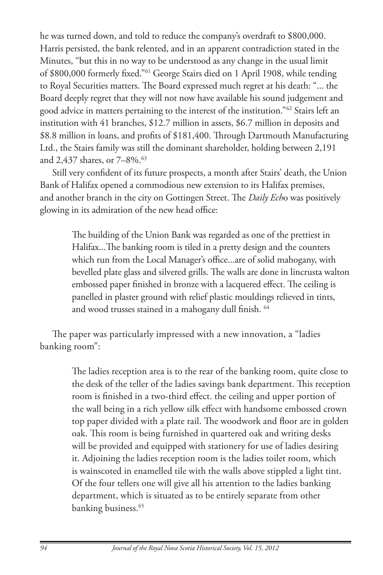he was turned down, and told to reduce the company's overdraft to \$800,000. Harris persisted, the bank relented, and in an apparent contradiction stated in the Minutes, "but this in no way to be understood as any change in the usual limit of \$800,000 formerly fixed."61 George Stairs died on 1 April 1908, while tending to Royal Securities matters. The Board expressed much regret at his death: "... the Board deeply regret that they will not now have available his sound judgement and good advice in matters pertaining to the interest of the institution."62 Stairs left an institution with 41 branches, \$12.7 million in assets, \$6.7 million in deposits and \$8.8 million in loans, and profits of \$181,400. Through Dartmouth Manufacturing Ltd., the Stairs family was still the dominant shareholder, holding between 2,191 and 2,437 shares, or 7-8%.<sup>63</sup>

Still very confident of its future prospects, a month after Stairs' death, the Union Bank of Halifax opened a commodious new extension to its Halifax premises, and another branch in the city on Gottingen Street. The *Daily Ech*o was positively glowing in its admiration of the new head office:

> The building of the Union Bank was regarded as one of the prettiest in Halifax...The banking room is tiled in a pretty design and the counters which run from the Local Manager's office...are of solid mahogany, with bevelled plate glass and silvered grills. The walls are done in lincrusta walton embossed paper finished in bronze with a lacquered effect. The ceiling is panelled in plaster ground with relief plastic mouldings relieved in tints, and wood trusses stained in a mahogany dull finish. 64

The paper was particularly impressed with a new innovation, a "ladies banking room":

> The ladies reception area is to the rear of the banking room, quite close to the desk of the teller of the ladies savings bank department. This reception room is finished in a two-third effect. the ceiling and upper portion of the wall being in a rich yellow silk effect with handsome embossed crown top paper divided with a plate rail. The woodwork and floor are in golden oak. This room is being furnished in quartered oak and writing desks will be provided and equipped with stationery for use of ladies desiring it. Adjoining the ladies reception room is the ladies toilet room, which is wainscoted in enamelled tile with the walls above stippled a light tint. Of the four tellers one will give all his attention to the ladies banking department, which is situated as to be entirely separate from other banking business.<sup>65</sup>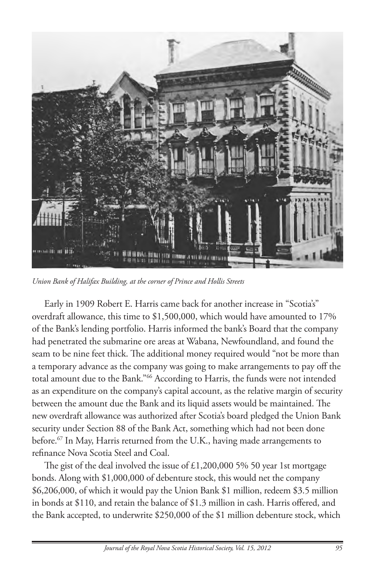

*Union Bank of Halifax Building, at the corner of Prince and Hollis Streets*

Early in 1909 Robert E. Harris came back for another increase in "Scotia's" overdraft allowance, this time to \$1,500,000, which would have amounted to 17% of the Bank's lending portfolio. Harris informed the bank's Board that the company had penetrated the submarine ore areas at Wabana, Newfoundland, and found the seam to be nine feet thick. The additional money required would "not be more than a temporary advance as the company was going to make arrangements to pay off the total amount due to the Bank."66 According to Harris, the funds were not intended as an expenditure on the company's capital account, as the relative margin of security between the amount due the Bank and its liquid assets would be maintained. The new overdraft allowance was authorized after Scotia's board pledged the Union Bank security under Section 88 of the Bank Act, something which had not been done before.<sup>67</sup> In May, Harris returned from the U.K., having made arrangements to refinance Nova Scotia Steel and Coal.

The gist of the deal involved the issue of £1,200,000 5% 50 year 1st mortgage bonds. Along with \$1,000,000 of debenture stock, this would net the company \$6,206,000, of which it would pay the Union Bank \$1 million, redeem \$3.5 million in bonds at \$110, and retain the balance of \$1.3 million in cash. Harris offered, and the Bank accepted, to underwrite \$250,000 of the \$1 million debenture stock, which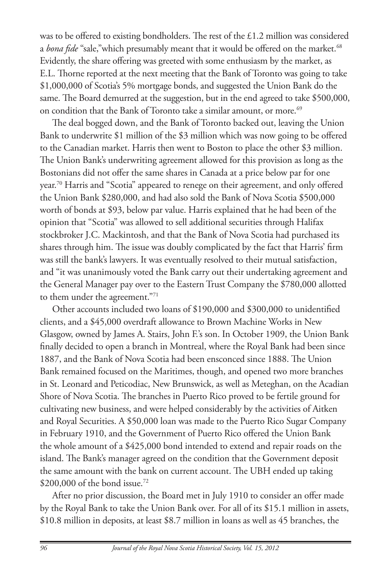was to be offered to existing bondholders. The rest of the £1.2 million was considered a *bona fide* "sale," which presumably meant that it would be offered on the market.<sup>68</sup> Evidently, the share offering was greeted with some enthusiasm by the market, as E.L. Thorne reported at the next meeting that the Bank of Toronto was going to take \$1,000,000 of Scotia's 5% mortgage bonds, and suggested the Union Bank do the same. The Board demurred at the suggestion, but in the end agreed to take \$500,000, on condition that the Bank of Toronto take a similar amount, or more.<sup>69</sup>

The deal bogged down, and the Bank of Toronto backed out, leaving the Union Bank to underwrite \$1 million of the \$3 million which was now going to be offered to the Canadian market. Harris then went to Boston to place the other \$3 million. The Union Bank's underwriting agreement allowed for this provision as long as the Bostonians did not offer the same shares in Canada at a price below par for one year.70 Harris and "Scotia" appeared to renege on their agreement, and only offered the Union Bank \$280,000, and had also sold the Bank of Nova Scotia \$500,000 worth of bonds at \$93, below par value. Harris explained that he had been of the opinion that "Scotia" was allowed to sell additional securities through Halifax stockbroker J.C. Mackintosh, and that the Bank of Nova Scotia had purchased its shares through him. The issue was doubly complicated by the fact that Harris' firm was still the bank's lawyers. It was eventually resolved to their mutual satisfaction, and "it was unanimously voted the Bank carry out their undertaking agreement and the General Manager pay over to the Eastern Trust Company the \$780,000 allotted to them under the agreement."71

Other accounts included two loans of \$190,000 and \$300,000 to unidentified clients, and a \$45,000 overdraft allowance to Brown Machine Works in New Glasgow, owned by James A. Stairs, John F.'s son. In October 1909, the Union Bank finally decided to open a branch in Montreal, where the Royal Bank had been since 1887, and the Bank of Nova Scotia had been ensconced since 1888. The Union Bank remained focused on the Maritimes, though, and opened two more branches in St. Leonard and Peticodiac, New Brunswick, as well as Meteghan, on the Acadian Shore of Nova Scotia. The branches in Puerto Rico proved to be fertile ground for cultivating new business, and were helped considerably by the activities of Aitken and Royal Securities. A \$50,000 loan was made to the Puerto Rico Sugar Company in February 1910, and the Government of Puerto Rico offered the Union Bank the whole amount of a \$425,000 bond intended to extend and repair roads on the island. The Bank's manager agreed on the condition that the Government deposit the same amount with the bank on current account. The UBH ended up taking \$200,000 of the bond issue.<sup>72</sup>

After no prior discussion, the Board met in July 1910 to consider an offer made by the Royal Bank to take the Union Bank over. For all of its \$15.1 million in assets, \$10.8 million in deposits, at least \$8.7 million in loans as well as 45 branches, the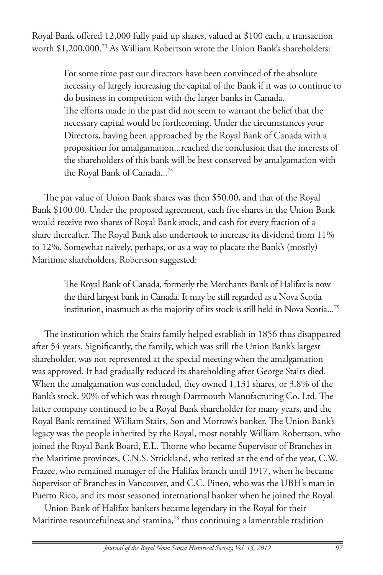Royal Bank offered 12,000 fully paid up shares, valued at \$100 each, a transaction worth \$1,200,000.73 As William Robertson wrote the Union Bank's shareholders:

> For some time past our directors have been convinced of the absolute necessity of largely increasing the capital of the Bank if it was to continue to do business in competition with the larger banks in Canada. The efforts made in the past did not seem to warrant the belief that the necessary capital would be forthcoming. Under the circumstances your Directors, having been approached by the Royal Bank of Canada with a proposition for amalgamation...reached the conclusion that the interests of the shareholders of this bank will be best conserved by amalgamation with the Royal Bank of Canada...<sup>74</sup>

The par value of Union Bank shares was then \$50.00, and that of the Royal Bank \$100.00. Under the proposed agreement, each five shares in the Union Bank would receive two shares of Royal Bank stock, and cash for every fraction of a share thereafter. The Royal Bank also undertook to increase its dividend from 11% to 12%. Somewhat naively, perhaps, or as a way to placate the Bank's (mostly) Maritime shareholders, Robertson suggested:

> The Royal Bank of Canada, formerly the Merchants Bank of Halifax is now the third largest bank in Canada. It may be still regarded as a Nova Scotia institution, inasmuch as the majority of its stock is still held in Nova Scotia...<sup>75</sup>

The institution which the Stairs family helped establish in 1856 thus disappeared after 54 years. Significantly, the family, which was still the Union Bank's largest shareholder, was not represented at the special meeting when the amalgamation was approved. It had gradually reduced its shareholding after George Stairs died. When the amalgamation was concluded, they owned 1,131 shares, or 3.8% of the Bank's stock, 90% of which was through Dartmouth Manufacturing Co. Ltd. The latter company continued to be a Royal Bank shareholder for many years, and the Royal Bank remained William Stairs, Son and Morrow's banker. The Union Bank's legacy was the people inherited by the Royal, most notably William Robertson, who joined the Royal Bank Board, E.L. Thorne who became Supervisor of Branches in the Maritime provinces, C.N.S. Strickland, who retired at the end of the year, C.W. Frazee, who remained manager of the Halifax branch until 1917, when he became Supervisor of Branches in Vancouver, and C.C. Pineo, who was the UBH's man in Puerto Rico, and its most seasoned international banker when he joined the Royal.

Union Bank of Halifax bankers became legendary in the Royal for their Maritime resourcefulness and stamina,<sup>76</sup> thus continuing a lamentable tradition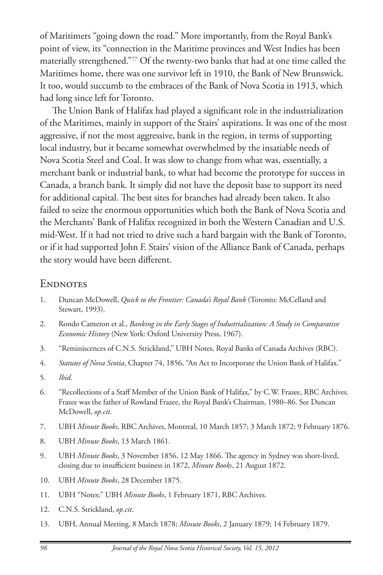of Maritimers "going down the road." More importantly, from the Royal Bank's point of view, its "connection in the Maritime provinces and West Indies has been materially strengthened."77 Of the twenty-two banks that had at one time called the Maritimes home, there was one survivor left in 1910, the Bank of New Brunswick. It too, would succumb to the embraces of the Bank of Nova Scotia in 1913, which had long since left for Toronto.

The Union Bank of Halifax had played a significant role in the industrialization of the Maritimes, mainly in support of the Stairs' aspirations. It was one of the most aggressive, if not the most aggressive, bank in the region, in terms of supporting local industry, but it became somewhat overwhelmed by the insatiable needs of Nova Scotia Steel and Coal. It was slow to change from what was, essentially, a merchant bank or industrial bank, to what had become the prototype for success in Canada, a branch bank. It simply did not have the deposit base to support its need for additional capital. The best sites for branches had already been taken. It also failed to seize the enormous opportunities which both the Bank of Nova Scotia and the Merchants' Bank of Halifax recognized in both the Western Canadian and U.S. mid-West. If it had not tried to drive such a hard bargain with the Bank of Toronto, or if it had supported John F. Stairs' vision of the Alliance Bank of Canada, perhaps the story would have been different.

## **ENDNOTES**

- 1. Duncan McDowell, *Quick to the Frontier: Canada's Royal Bank* (Toronto: McCelland and Stewart, 1993).
- 2. Rondo Cameron et al., *Banking in the Early Stages of Industrialization: A Study in Comparative Economic History* (New York: Oxford University Press, 1967).
- 3. "Reminiscences of C.N.S. Strickland," UBH Notes, Royal Banks of Canada Archives (RBC).
- 4. *Statutes of Nova Scotia*, Chapter 74, 1856, "An Act to Incorporate the Union Bank of Halifax."
- 5. *Ibid*.
- 6. "Recollections of a Staff Member of the Union Bank of Halifax," by C.W. Frazee, RBC Archives. Frazee was the father of Rowland Frazee, the Royal Bank's Chairman, 1980–86. See Duncan McDowell, *op.cit*.
- 7. UBH *Minute Books*, RBC Archives, Montreal, 10 March 1857; 3 March 1872; 9 February 1876.
- 8. UBH *Minute Books*, 13 March 1861.
- 9. UBH *Minute Books*, 3 November 1856, 12 May 1866. The agency in Sydney was short-lived, closing due to insufficient business in 1872, *Minute Books*, 21 August 1872.
- 10. UBH *Minute Books*, 28 December 1875.
- 11. UBH "Notes;" UBH *Minute Books*, 1 February 1871, RBC Archives.
- 12. C.N.S. Strickland, *op.cit*.
- 13. UBH, Annual Meeting, 8 March 1878; *Minute Books*, 2 January 1879; 14 February 1879.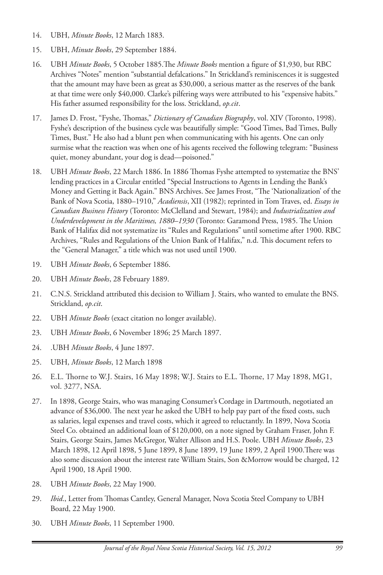- 14. UBH, *Minute Books*, 12 March 1883.
- 15. UBH, *Minute Books*, 29 September 1884.
- 16. UBH *Minute Books*, 5 October 1885.The *Minute Books* mention a figure of \$1,930, but RBC Archives "Notes" mention "substantial defalcations." In Strickland's reminiscences it is suggested that the amount may have been as great as \$30,000, a serious matter as the reserves of the bank at that time were only \$40,000. Clarke's pilfering ways were attributed to his "expensive habits." His father assumed responsibility for the loss. Strickland, *op.cit*.
- 17. James D. Frost, "Fyshe, Thomas," *Dictionary of Canadian Biography*, vol. XIV (Toronto, 1998). Fyshe's description of the business cycle was beautifully simple: "Good Times, Bad Times, Bully Times, Bust." He also had a blunt pen when communicating with his agents. One can only surmise what the reaction was when one of his agents received the following telegram: "Business quiet, money abundant, your dog is dead—poisoned."
- 18. UBH *Minute Books*, 22 March 1886. In 1886 Thomas Fyshe attempted to systematize the BNS' lending practices in a Circular entitled "Special Instructions to Agents in Lending the Bank's Money and Getting it Back Again." BNS Archives. See James Frost, "The 'Nationalization' of the Bank of Nova Scotia, 1880–1910," *Acadiensis*, XII (1982); reprinted in Tom Traves, ed. *Essays in Canadian Business History* (Toronto: McClelland and Stewart, 1984); and *Industrialization and Underdevelopment in the Maritimes, 1880–1930* (Toronto: Garamond Press, 1985. The Union Bank of Halifax did not systematize its "Rules and Regulations" until sometime after 1900. RBC Archives, "Rules and Regulations of the Union Bank of Halifax," n.d. This document refers to the "General Manager," a title which was not used until 1900.
- 19. UBH *Minute Books*, 6 September 1886.
- 20. UBH *Minute Books*, 28 February 1889.
- 21. C.N.S. Strickland attributed this decision to William J. Stairs, who wanted to emulate the BNS. Strickland, *op.cit*.
- 22. UBH *Minute Books* (exact citation no longer available).
- 23. UBH *Minute Books*, 6 November 1896; 25 March 1897.
- 24. .UBH *Minute Books*, 4 June 1897.
- 25. UBH, *Minute Books*, 12 March 1898
- 26. E.L. Thorne to W.J. Stairs, 16 May 1898; W.J. Stairs to E.L. Thorne, 17 May 1898, MG1, vol. 3277, NSA.
- 27. In 1898, George Stairs, who was managing Consumer's Cordage in Dartmouth, negotiated an advance of \$36,000. The next year he asked the UBH to help pay part of the fixed costs, such as salaries, legal expenses and travel costs, which it agreed to reluctantly. In 1899, Nova Scotia Steel Co. obtained an additional loan of \$120,000, on a note signed by Graham Fraser, John F. Stairs, George Stairs, James McGregor, Walter Allison and H.S. Poole. UBH *Minute Books*, 23 March 1898, 12 April 1898, 5 June 1899, 8 June 1899, 19 June 1899, 2 April 1900.There was also some discussion about the interest rate William Stairs, Son &Morrow would be charged, 12 April 1900, 18 April 1900.
- 28. UBH *Minute Books*, 22 May 1900.
- 29. *Ibid*., Letter from Thomas Cantley, General Manager, Nova Scotia Steel Company to UBH Board, 22 May 1900.
- 30. UBH *Minute Books*, 11 September 1900.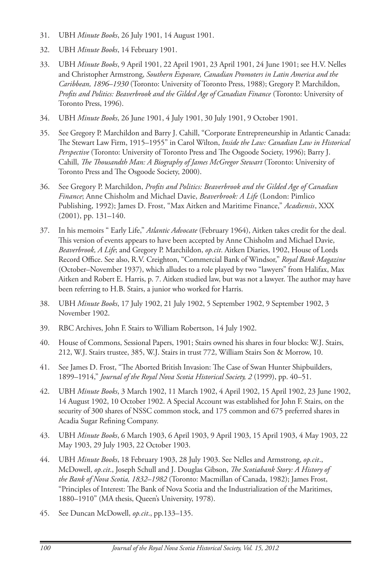- 31. UBH *Minute Books*, 26 July 1901, 14 August 1901.
- 32. UBH *Minute Books*, 14 February 1901.
- 33. UBH *Minute Books*, 9 April 1901, 22 April 1901, 23 April 1901, 24 June 1901; see H.V. Nelles and Christopher Armstrong, *Southern Exposure, Canadian Promoters in Latin America and the Caribbean, 1896–1930* (Toronto: University of Toronto Press, 1988); Gregory P. Marchildon, *Profits and Politics: Beaverbrook and the Gilded Age of Canadian Finance* (Toronto: University of Toronto Press, 1996).
- 34. UBH *Minute Books*, 26 June 1901, 4 July 1901, 30 July 1901, 9 October 1901.
- 35. See Gregory P. Marchildon and Barry J. Cahill, "Corporate Entrepreneurship in Atlantic Canada: The Stewart Law Firm, 1915–1955" in Carol Wilton, *Inside the Law: Canadian Law in Historical Perspective* (Toronto: University of Toronto Press and The Osgoode Society, 1996); Barry J. Cahill, *The Thousandth Man: A Biography of James McGregor Stewart* (Toronto: University of Toronto Press and The Osgoode Society, 2000).
- 36. See Gregory P. Marchildon, *Profits and Politics: Beaverbrook and the Gilded Age of Canadian Finance*; Anne Chisholm and Michael Davie, *Beaverbrook: A Life* (London: Pimlico Publishing, 1992); James D. Frost, "Max Aitken and Maritime Finance," *Acadiensis*, XXX (2001), pp. 131–140.
- 37. In his memoirs " Early Life," *Atlantic Advocate* (February 1964), Aitken takes credit for the deal. This version of events appears to have been accepted by Anne Chisholm and Michael Davie, *Beaverbrook, A Life*; and Gregory P. Marchildon, *op.cit*. Aitken Diaries, 1902, House of Lords Record Office. See also, R.V. Creighton, "Commercial Bank of Windsor," *Royal Bank Magazine* (October–November 1937), which alludes to a role played by two "lawyers" from Halifax, Max Aitken and Robert E. Harris, p. 7. Aitken studied law, but was not a lawyer. The author may have been referring to H.B. Stairs, a junior who worked for Harris.
- 38. UBH *Minute Books*, 17 July 1902, 21 July 1902, 5 September 1902, 9 September 1902, 3 November 1902.
- 39. RBC Archives, John F. Stairs to William Robertson, 14 July 1902.
- 40. House of Commons, Sessional Papers, 1901; Stairs owned his shares in four blocks: W.J. Stairs, 212, W.J. Stairs trustee, 385, W.J. Stairs in trust 772, William Stairs Son & Morrow, 10.
- 41. See James D. Frost, "The Aborted British Invasion: The Case of Swan Hunter Shipbuilders, 1899–1914," *Journal of the Royal Nova Scotia Historical Society, 2* (1999), pp. 40–51.
- 42. UBH *Minute Books*, 3 March 1902, 11 March 1902, 4 April 1902, 15 April 1902, 23 June 1902, 14 August 1902, 10 October 1902. A Special Account was established for John F. Stairs, on the security of 300 shares of NSSC common stock, and 175 common and 675 preferred shares in Acadia Sugar Refining Company.
- 43. UBH *Minute Books*, 6 March 1903, 6 April 1903, 9 April 1903, 15 April 1903, 4 May 1903, 22 May 1903, 29 July 1903, 22 October 1903.
- 44. UBH *Minute Books*, 18 February 1903, 28 July 1903. See Nelles and Armstrong, *op.cit*., McDowell, *op.cit*., Joseph Schull and J. Douglas Gibson, *The Scotiabank Story: A History of the Bank of Nova Scotia, 1832–1982* (Toronto: Macmillan of Canada, 1982); James Frost, "Principles of Interest: The Bank of Nova Scotia and the Industrialization of the Maritimes, 1880–1910" (MA thesis, Queen's University, 1978).
- 45. See Duncan McDowell, *op.cit*., pp.133–135.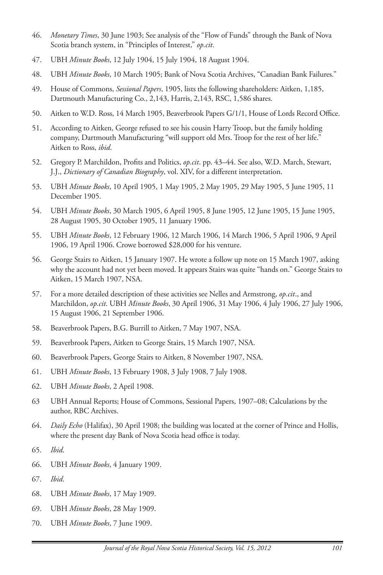- 46. *Monetary Times*, 30 June 1903; See analysis of the "Flow of Funds" through the Bank of Nova Scotia branch system, in "Principles of Interest," *op.cit*.
- 47. UBH *Minute Books*, 12 July 1904, 15 July 1904, 18 August 1904.
- 48. UBH *Minute Books*, 10 March 1905; Bank of Nova Scotia Archives, "Canadian Bank Failures."
- 49. House of Commons, *Sessional Papers*, 1905, lists the following shareholders: Aitken, 1,185, Dartmouth Manufacturing Co., 2,143, Harris, 2,143, RSC, 1,586 shares.
- 50. Aitken to W.D. Ross, 14 March 1905, Beaverbrook Papers G/1/1, House of Lords Record Office.
- 51. According to Aitken, George refused to see his cousin Harry Troop, but the family holding company, Dartmouth Manufacturing "will support old Mrs. Troop for the rest of her life." Aitken to Ross, *ibid*.
- 52. Gregory P. Marchildon, Profits and Politics, *op.cit*. pp. 43–44. See also, W.D. March, Stewart, J.J., *Dictionary of Canadian Biography*, vol. XIV, for a different interpretation.
- 53. UBH *Minute Books*, 10 April 1905, 1 May 1905, 2 May 1905, 29 May 1905, 5 June 1905, 11 December 1905.
- 54. UBH *Minute Books*, 30 March 1905, 6 April 1905, 8 June 1905, 12 June 1905, 15 June 1905, 28 August 1905, 30 October 1905, 11 January 1906.
- 55. UBH *Minute Books*, 12 February 1906, 12 March 1906, 14 March 1906, 5 April 1906, 9 April 1906, 19 April 1906. Crowe borrowed \$28,000 for his venture.
- 56. George Stairs to Aitken, 15 January 1907. He wrote a follow up note on 15 March 1907, asking why the account had not yet been moved. It appears Stairs was quite "hands on." George Stairs to Aitken, 15 March 1907, NSA.
- 57. For a more detailed description of these activities see Nelles and Armstrong, *op.cit*., and Marchildon, *op.cit*. UBH *Minute Books*, 30 April 1906, 31 May 1906, 4 July 1906, 27 July 1906, 15 August 1906, 21 September 1906.
- 58. Beaverbrook Papers, B.G. Burrill to Aitken, 7 May 1907, NSA.
- 59. Beaverbrook Papers, Aitken to George Stairs, 15 March 1907, NSA.
- 60. Beaverbrook Papers, George Stairs to Aitken, 8 November 1907, NSA.
- 61. UBH *Minute Books*, 13 February 1908, 3 July 1908, 7 July 1908.
- 62. UBH *Minute Books*, 2 April 1908.
- 63 UBH Annual Reports; House of Commons, Sessional Papers, 1907–08; Calculations by the author, RBC Archives.
- 64. *Daily Echo* (Halifax), 30 April 1908; the building was located at the corner of Prince and Hollis, where the present day Bank of Nova Scotia head office is today.
- 65. *Ibid*.
- 66. UBH *Minute Books*, 4 January 1909.
- 67. *Ibid*.
- 68. UBH *Minute Books*, 17 May 1909.
- 69. UBH *Minute Books*, 28 May 1909.
- 70. UBH *Minute Books*, 7 June 1909.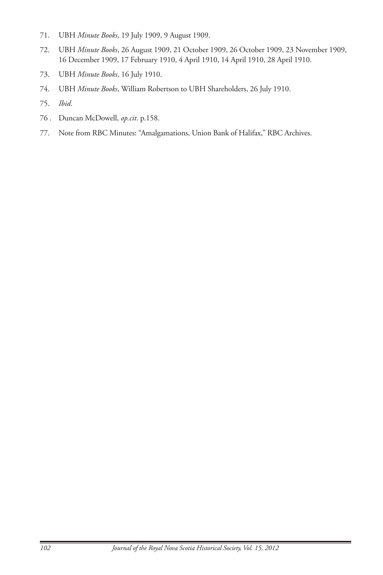- 71. UBH *Minute Books*, 19 July 1909, 9 August 1909.
- 72. UBH *Minute Books*, 26 August 1909, 21 October 1909, 26 October 1909, 23 November 1909, 16 December 1909, 17 February 1910, 4 April 1910, 14 April 1910, 28 April 1910.
- 73. UBH *Minute Books*, 16 July 1910.
- 74. UBH *Minute Books*, William Robertson to UBH Shareholders, 26 July 1910.
- 75. *Ibid*.
- 76 . Duncan McDowell, *op.cit*. p.158.
- 77. Note from RBC Minutes: "Amalgamations, Union Bank of Halifax," RBC Archives.